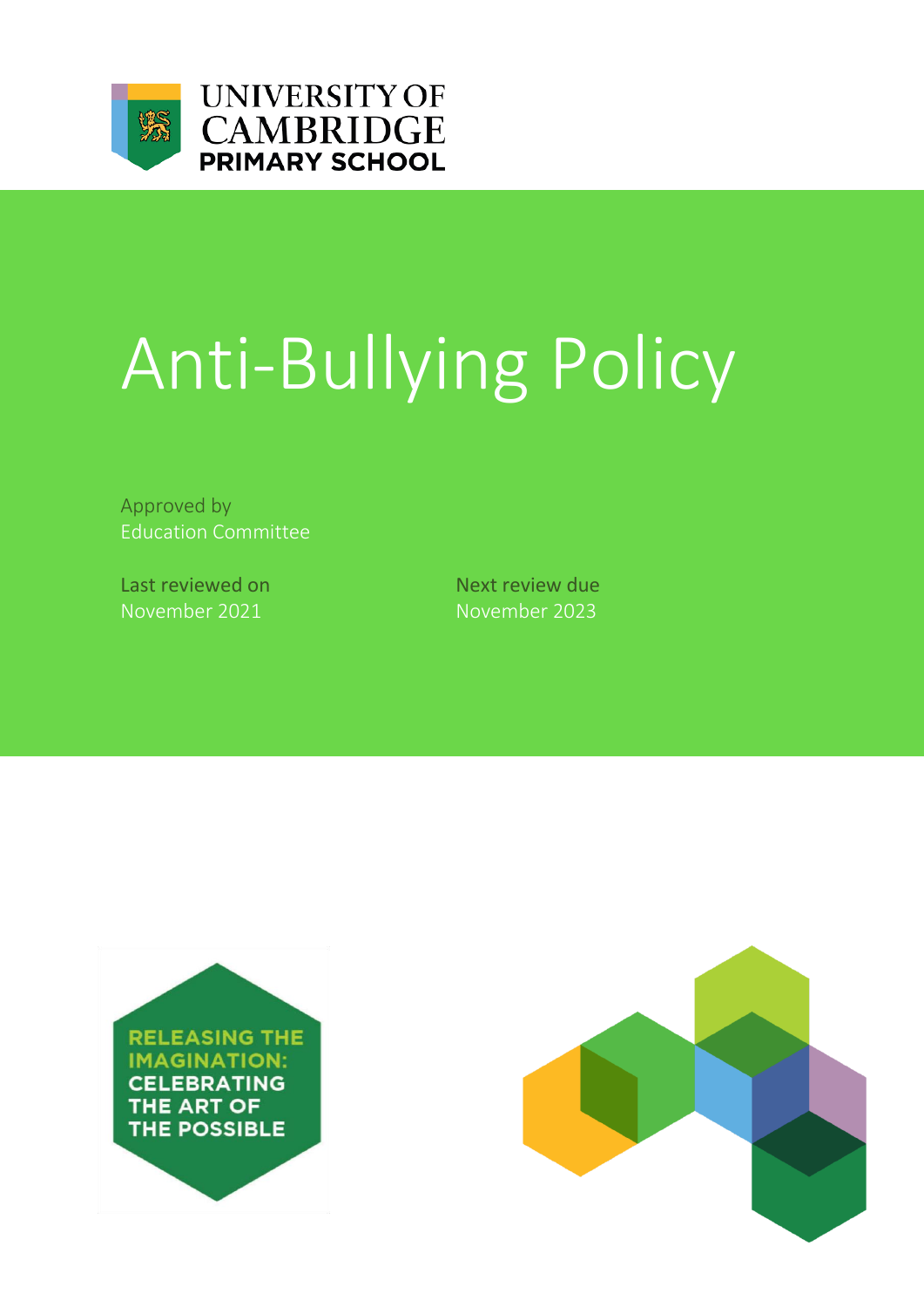

## **UNIVERSITY OF CAMBRIDGE PRIMARY SCHOOL**

# Anti-Bullying Policy

Approved by Education Committee

Last reviewed on Next review due November 2021 November 2023



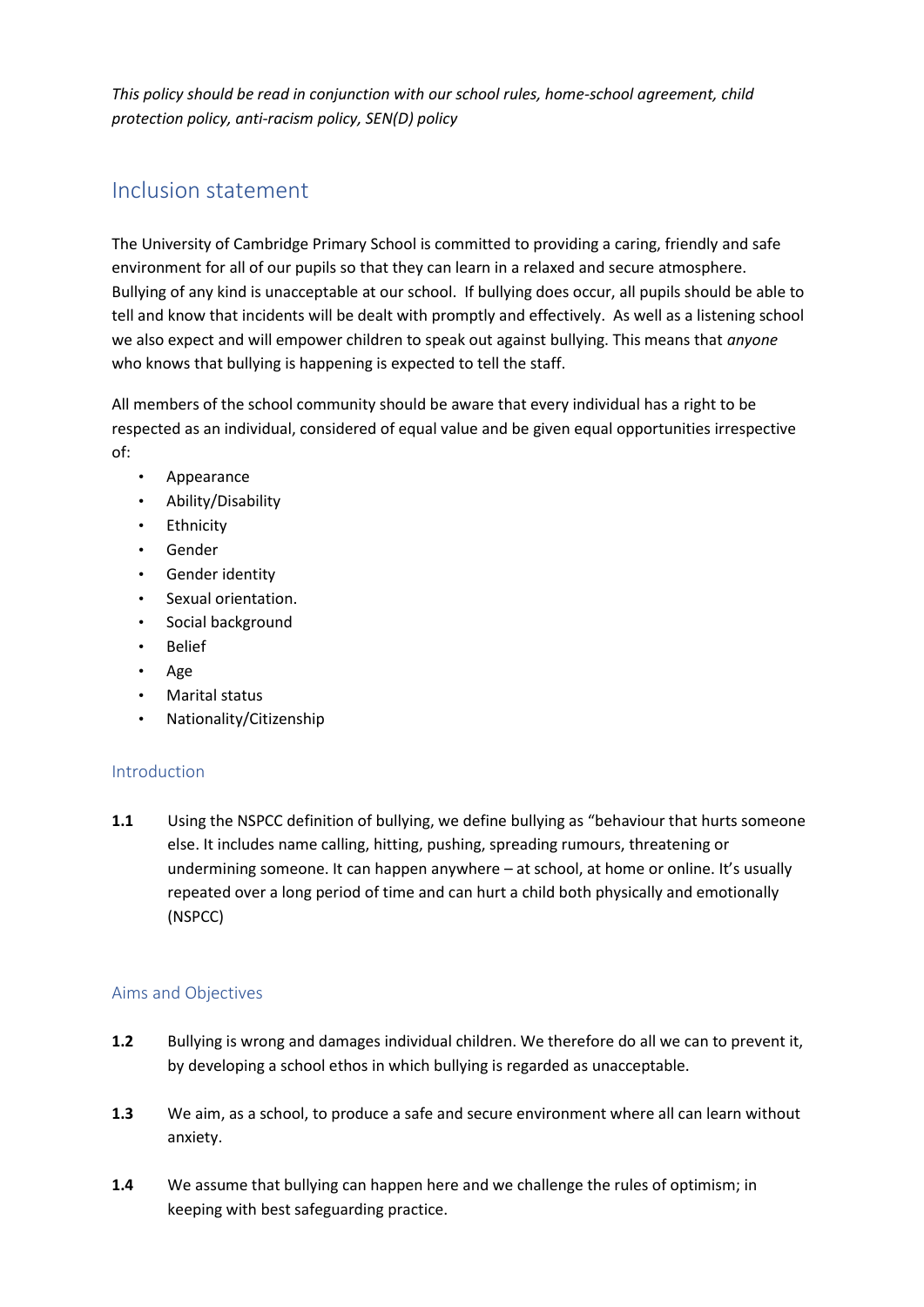*This policy should be read in conjunction with our school rules, home-school agreement, child protection policy, anti-racism policy, SEN(D) policy*

### Inclusion statement

The University of Cambridge Primary School is committed to providing a caring, friendly and safe environment for all of our pupils so that they can learn in a relaxed and secure atmosphere. Bullying of any kind is unacceptable at our school. If bullying does occur, all pupils should be able to tell and know that incidents will be dealt with promptly and effectively. As well as a listening school we also expect and will empower children to speak out against bullying. This means that *anyone* who knows that bullying is happening is expected to tell the staff.

All members of the school community should be aware that every individual has a right to be respected as an individual, considered of equal value and be given equal opportunities irrespective of:

- Appearance
- Ability/Disability
- Ethnicity
- Gender
- Gender identity
- Sexual orientation.
- Social background
- Belief
- Age
- Marital status
- Nationality/Citizenship

#### Introduction

**1.1** Using the NSPCC definition of bullying, we define bullying as "behaviour that hurts someone else. It includes name calling, hitting, pushing, spreading rumours, threatening or undermining someone. It can happen anywhere – at school, at home or online. It's usually repeated over a long period of time and can hurt a child both physically and emotionally (NSPCC)

#### Aims and Objectives

- **1.2** Bullying is wrong and damages individual children. We therefore do all we can to prevent it, by developing a school ethos in which bullying is regarded as unacceptable.
- **1.3** We aim, as a school, to produce a safe and secure environment where all can learn without anxiety.
- **1.4** We assume that bullying can happen here and we challenge the rules of optimism; in keeping with best safeguarding practice.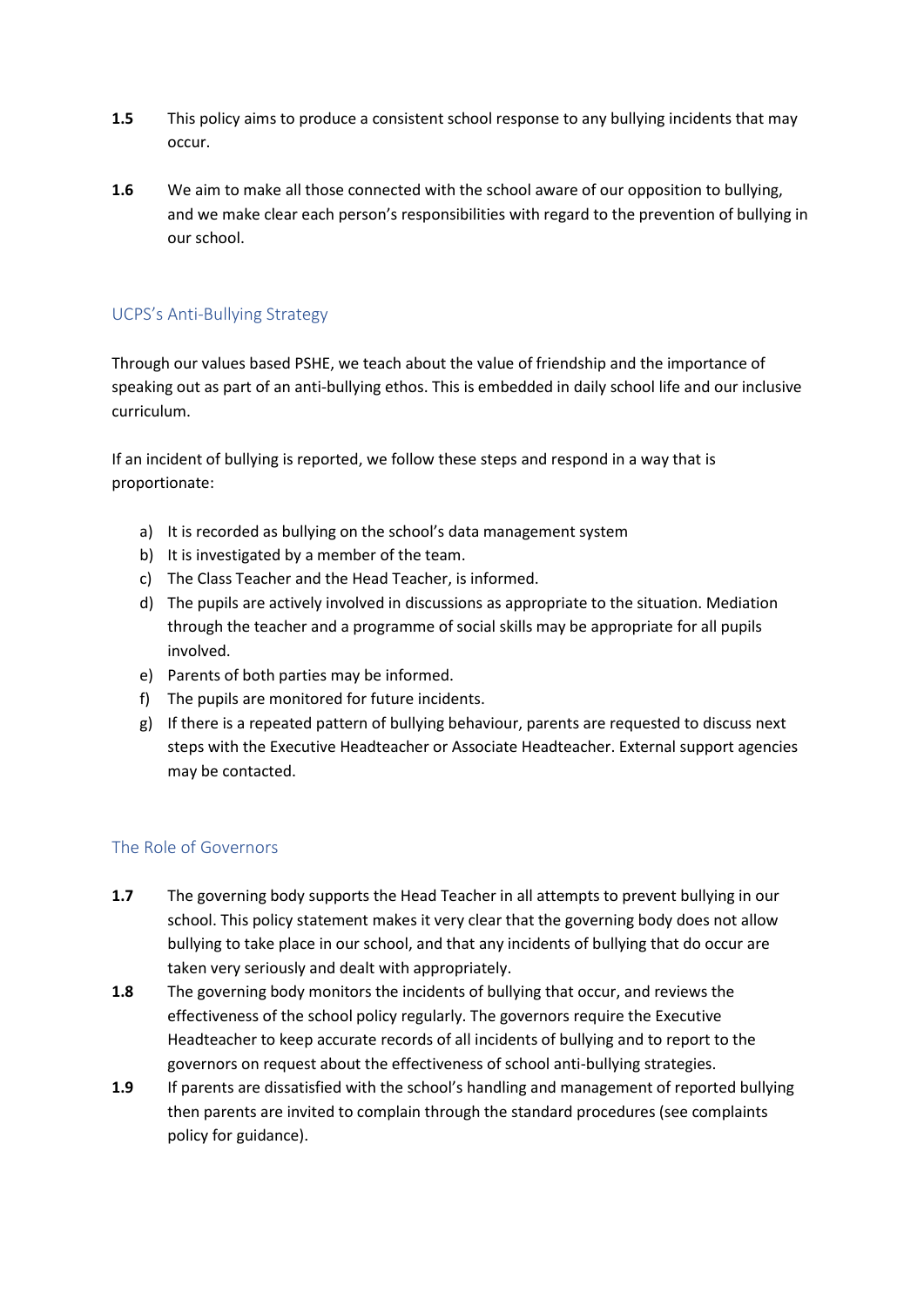- **1.5** This policy aims to produce a consistent school response to any bullying incidents that may occur.
- **1.6** We aim to make all those connected with the school aware of our opposition to bullying, and we make clear each person's responsibilities with regard to the prevention of bullying in our school.

#### UCPS's Anti-Bullying Strategy

Through our values based PSHE, we teach about the value of friendship and the importance of speaking out as part of an anti-bullying ethos. This is embedded in daily school life and our inclusive curriculum.

If an incident of bullying is reported, we follow these steps and respond in a way that is proportionate:

- a) It is recorded as bullying on the school's data management system
- b) It is investigated by a member of the team.
- c) The Class Teacher and the Head Teacher, is informed.
- d) The pupils are actively involved in discussions as appropriate to the situation. Mediation through the teacher and a programme of social skills may be appropriate for all pupils involved.
- e) Parents of both parties may be informed.
- f) The pupils are monitored for future incidents.
- g) If there is a repeated pattern of bullying behaviour, parents are requested to discuss next steps with the Executive Headteacher or Associate Headteacher. External support agencies may be contacted.

#### The Role of Governors

- **1.7** The governing body supports the Head Teacher in all attempts to prevent bullying in our school. This policy statement makes it very clear that the governing body does not allow bullying to take place in our school, and that any incidents of bullying that do occur are taken very seriously and dealt with appropriately.
- **1.8** The governing body monitors the incidents of bullying that occur, and reviews the effectiveness of the school policy regularly. The governors require the Executive Headteacher to keep accurate records of all incidents of bullying and to report to the governors on request about the effectiveness of school anti-bullying strategies.
- **1.9** If parents are dissatisfied with the school's handling and management of reported bullying then parents are invited to complain through the standard procedures (see complaints policy for guidance).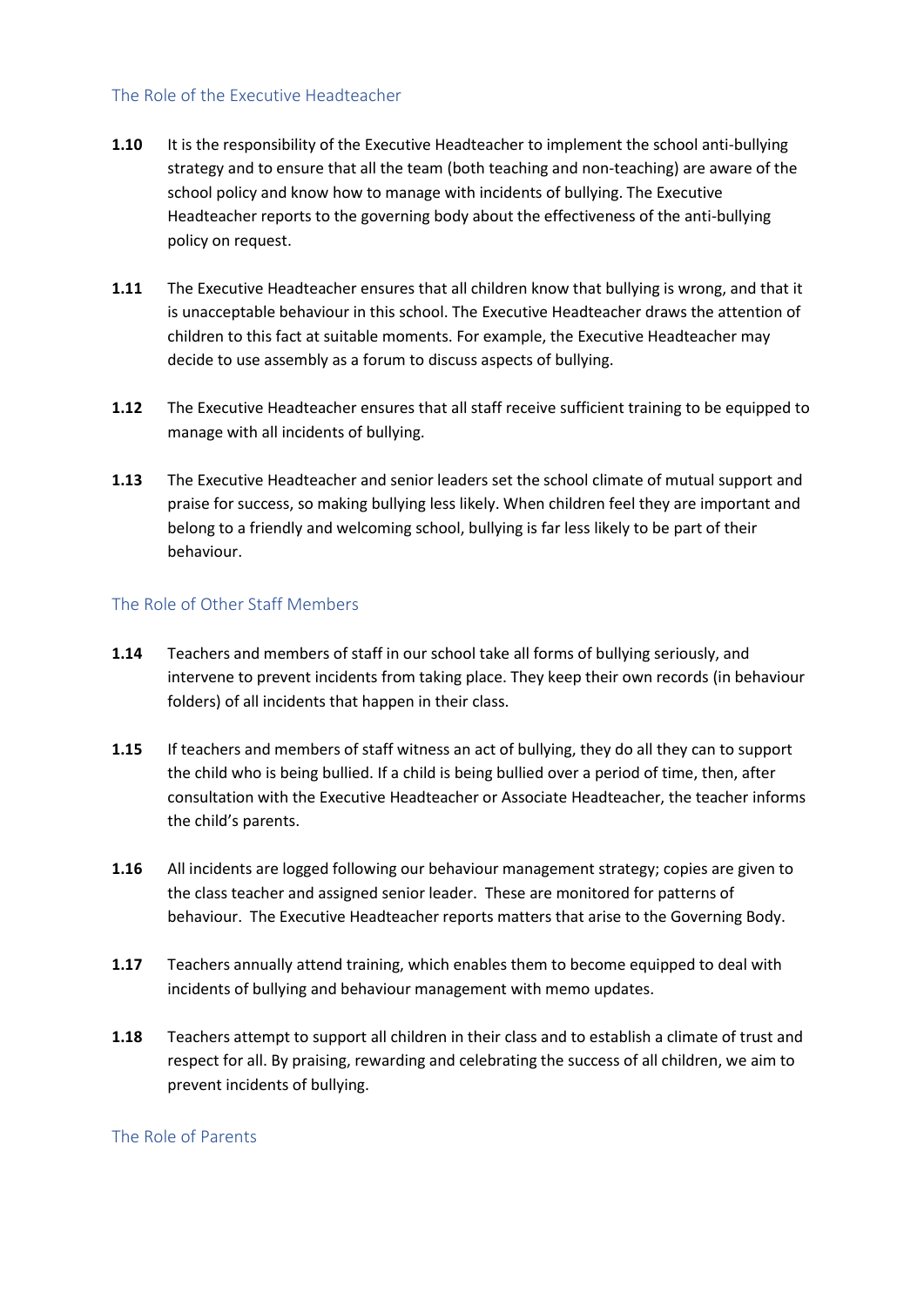#### The Role of the Executive Headteacher

- **1.10** It is the responsibility of the Executive Headteacher to implement the school anti-bullying strategy and to ensure that all the team (both teaching and non-teaching) are aware of the school policy and know how to manage with incidents of bullying. The Executive Headteacher reports to the governing body about the effectiveness of the anti-bullying policy on request.
- **1.11** The Executive Headteacher ensures that all children know that bullying is wrong, and that it is unacceptable behaviour in this school. The Executive Headteacher draws the attention of children to this fact at suitable moments. For example, the Executive Headteacher may decide to use assembly as a forum to discuss aspects of bullying.
- **1.12** The Executive Headteacher ensures that all staff receive sufficient training to be equipped to manage with all incidents of bullying.
- **1.13** The Executive Headteacher and senior leaders set the school climate of mutual support and praise for success, so making bullying less likely. When children feel they are important and belong to a friendly and welcoming school, bullying is far less likely to be part of their behaviour.

#### The Role of Other Staff Members

- **1.14** Teachers and members of staff in our school take all forms of bullying seriously, and intervene to prevent incidents from taking place. They keep their own records (in behaviour folders) of all incidents that happen in their class.
- **1.15** If teachers and members of staff witness an act of bullying, they do all they can to support the child who is being bullied. If a child is being bullied over a period of time, then, after consultation with the Executive Headteacher or Associate Headteacher, the teacher informs the child's parents.
- **1.16** All incidents are logged following our behaviour management strategy; copies are given to the class teacher and assigned senior leader. These are monitored for patterns of behaviour. The Executive Headteacher reports matters that arise to the Governing Body.
- **1.17** Teachers annually attend training, which enables them to become equipped to deal with incidents of bullying and behaviour management with memo updates.
- **1.18** Teachers attempt to support all children in their class and to establish a climate of trust and respect for all. By praising, rewarding and celebrating the success of all children, we aim to prevent incidents of bullying.

#### The Role of Parents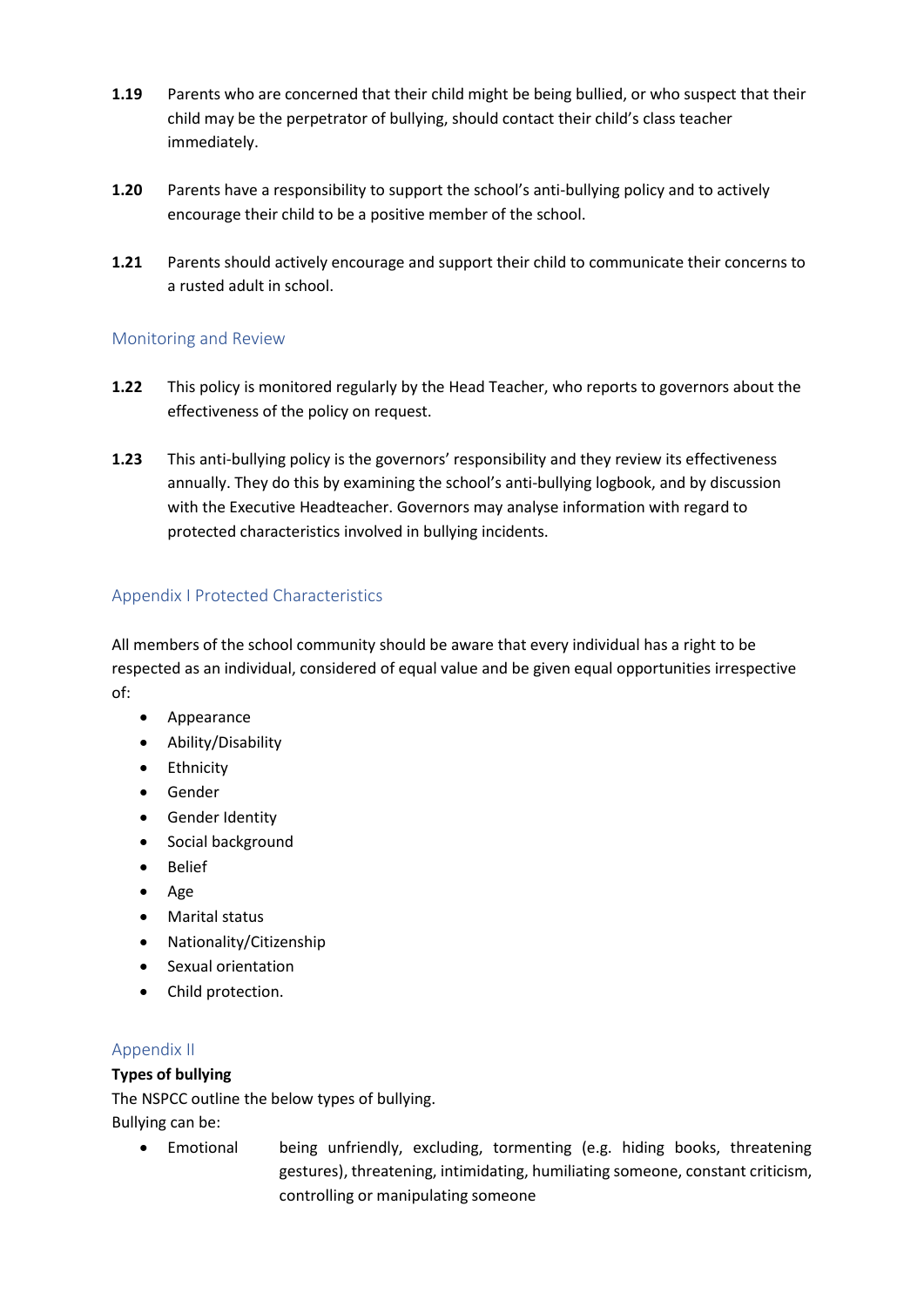- **1.19** Parents who are concerned that their child might be being bullied, or who suspect that their child may be the perpetrator of bullying, should contact their child's class teacher immediately.
- **1.20** Parents have a responsibility to support the school's anti-bullying policy and to actively encourage their child to be a positive member of the school.
- **1.21** Parents should actively encourage and support their child to communicate their concerns to a rusted adult in school.

#### Monitoring and Review

- **1.22** This policy is monitored regularly by the Head Teacher, who reports to governors about the effectiveness of the policy on request.
- **1.23** This anti-bullying policy is the governors' responsibility and they review its effectiveness annually. They do this by examining the school's anti-bullying logbook, and by discussion with the Executive Headteacher. Governors may analyse information with regard to protected characteristics involved in bullying incidents.

#### Appendix I Protected Characteristics

All members of the school community should be aware that every individual has a right to be respected as an individual, considered of equal value and be given equal opportunities irrespective of:

- Appearance
- Ability/Disability
- **•** Ethnicity
- Gender
- **•** Gender Identity
- Social background
- Belief
- Age
- Marital status
- Nationality/Citizenship
- Sexual orientation
- Child protection.

#### Appendix II

#### **Types of bullying**

The NSPCC outline the below types of bullying.

Bullying can be:

 Emotional being unfriendly, excluding, tormenting (e.g. hiding books, threatening gestures), threatening, intimidating, humiliating someone, constant criticism, controlling or manipulating someone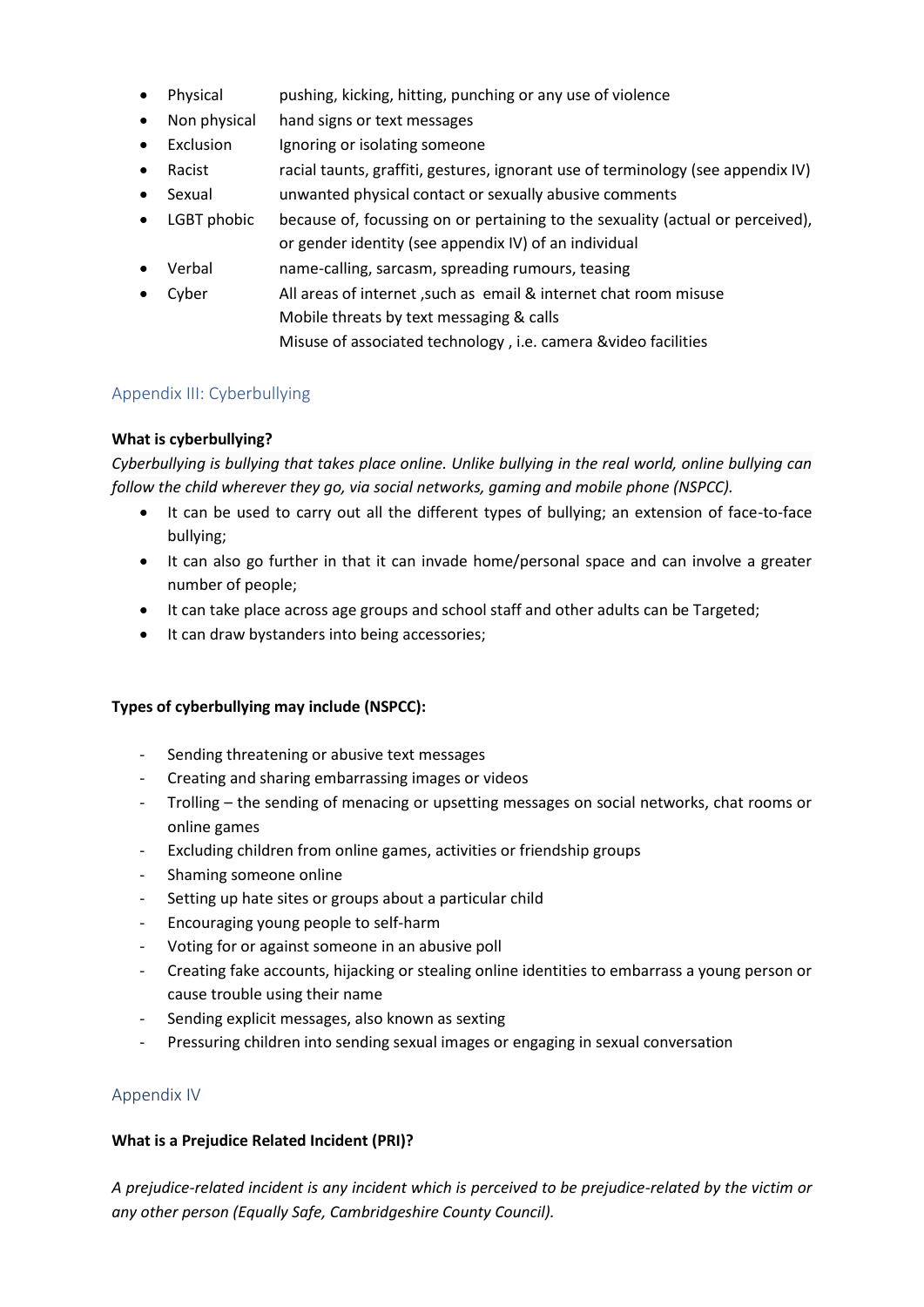- Physical pushing, kicking, hitting, punching or any use of violence
- Non physical hand signs or text messages
- Exclusion Ignoring or isolating someone
- Racist racial taunts, graffiti, gestures, ignorant use of terminology (see appendix IV)
- Sexual unwanted physical contact or sexually abusive comments
- LGBT phobic because of, focussing on or pertaining to the sexuality (actual or perceived), or gender identity (see appendix IV) of an individual
- Verbal name-calling, sarcasm, spreading rumours, teasing
- Cyber All areas of internet ,such as email & internet chat room misuse Mobile threats by text messaging & calls
	- Misuse of associated technology , i.e. camera &video facilities

#### Appendix III: Cyberbullying

#### **What is cyberbullying?**

*Cyberbullying is bullying that takes place online. Unlike bullying in the real world, online bullying can follow the child wherever they go, via social networks, gaming and mobile phone (NSPCC).*

- It can be used to carry out all the different types of bullying; an extension of face-to-face bullying;
- It can also go further in that it can invade home/personal space and can involve a greater number of people;
- It can take place across age groups and school staff and other adults can be Targeted;
- It can draw bystanders into being accessories;

#### **Types of cyberbullying may include (NSPCC):**

- Sending threatening or abusive text messages
- Creating and sharing embarrassing images or videos
- Trolling the sending of menacing or upsetting messages on social networks, chat rooms or online games
- Excluding children from online games, activities or friendship groups
- Shaming someone online
- Setting up hate sites or groups about a particular child
- Encouraging young people to self-harm
- Voting for or against someone in an abusive poll
- Creating fake accounts, hijacking or stealing online identities to embarrass a young person or cause trouble using their name
- Sending explicit messages, also known as sexting
- Pressuring children into sending sexual images or engaging in sexual conversation

#### Appendix IV

#### **What is a Prejudice Related Incident (PRI)?**

*A prejudice-related incident is any incident which is perceived to be prejudice-related by the victim or any other person (Equally Safe, Cambridgeshire County Council).*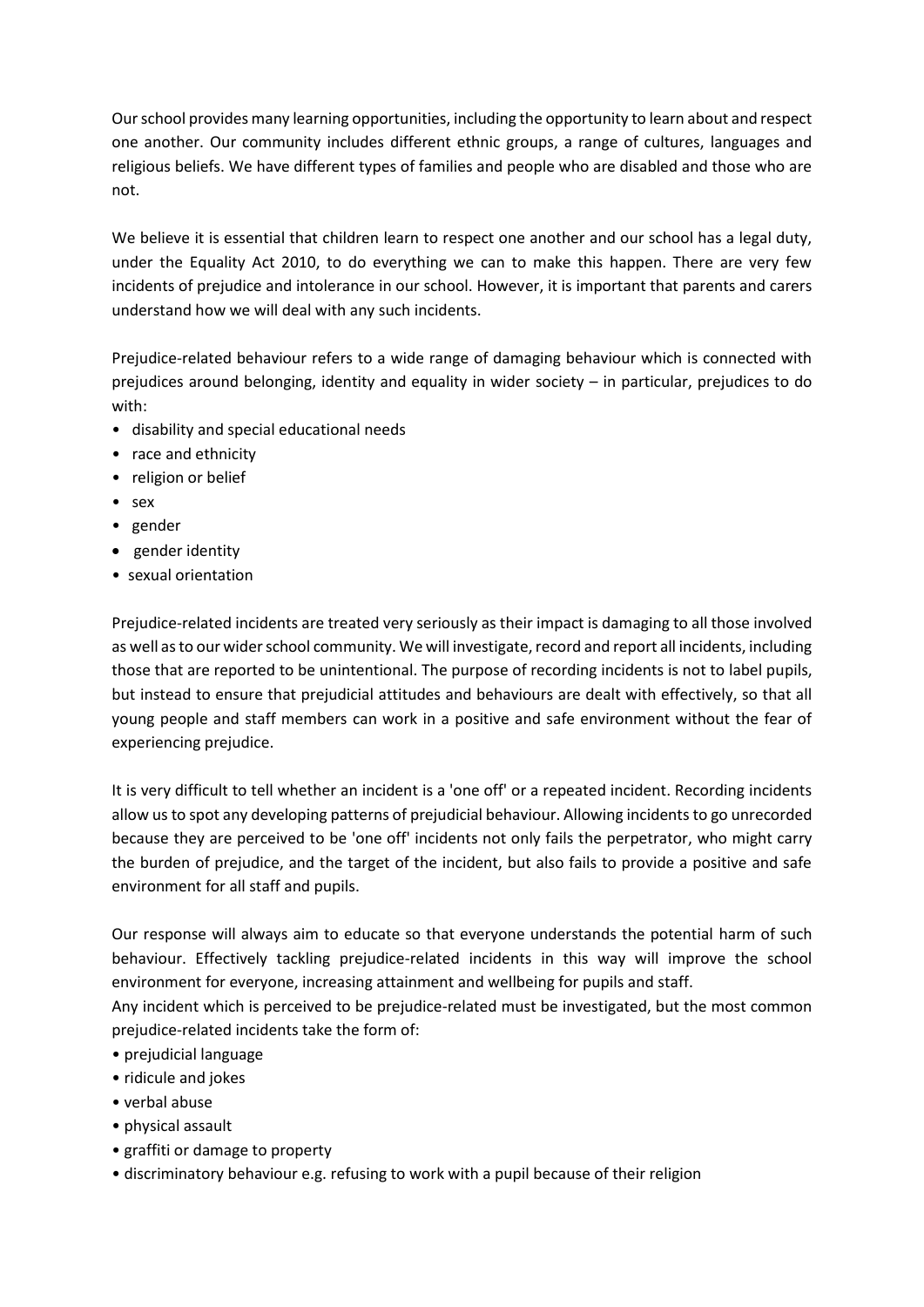Our school provides many learning opportunities, including the opportunity to learn about and respect one another. Our community includes different ethnic groups, a range of cultures, languages and religious beliefs. We have different types of families and people who are disabled and those who are not.

We believe it is essential that children learn to respect one another and our school has a legal duty, under the Equality Act 2010, to do everything we can to make this happen. There are very few incidents of prejudice and intolerance in our school. However, it is important that parents and carers understand how we will deal with any such incidents.

Prejudice-related behaviour refers to a wide range of damaging behaviour which is connected with prejudices around belonging, identity and equality in wider society – in particular, prejudices to do with:

- disability and special educational needs
- race and ethnicity
- religion or belief
- sex
- gender
- gender identity
- sexual orientation

Prejudice-related incidents are treated very seriously as their impact is damaging to all those involved as well as to our wider school community. We will investigate, record and report all incidents, including those that are reported to be unintentional. The purpose of recording incidents is not to label pupils, but instead to ensure that prejudicial attitudes and behaviours are dealt with effectively, so that all young people and staff members can work in a positive and safe environment without the fear of experiencing prejudice.

It is very difficult to tell whether an incident is a 'one off' or a repeated incident. Recording incidents allow us to spot any developing patterns of prejudicial behaviour. Allowing incidents to go unrecorded because they are perceived to be 'one off' incidents not only fails the perpetrator, who might carry the burden of prejudice, and the target of the incident, but also fails to provide a positive and safe environment for all staff and pupils.

Our response will always aim to educate so that everyone understands the potential harm of such behaviour. Effectively tackling prejudice-related incidents in this way will improve the school environment for everyone, increasing attainment and wellbeing for pupils and staff.

Any incident which is perceived to be prejudice-related must be investigated, but the most common prejudice-related incidents take the form of:

- prejudicial language
- ridicule and jokes
- verbal abuse
- physical assault
- graffiti or damage to property
- discriminatory behaviour e.g. refusing to work with a pupil because of their religion